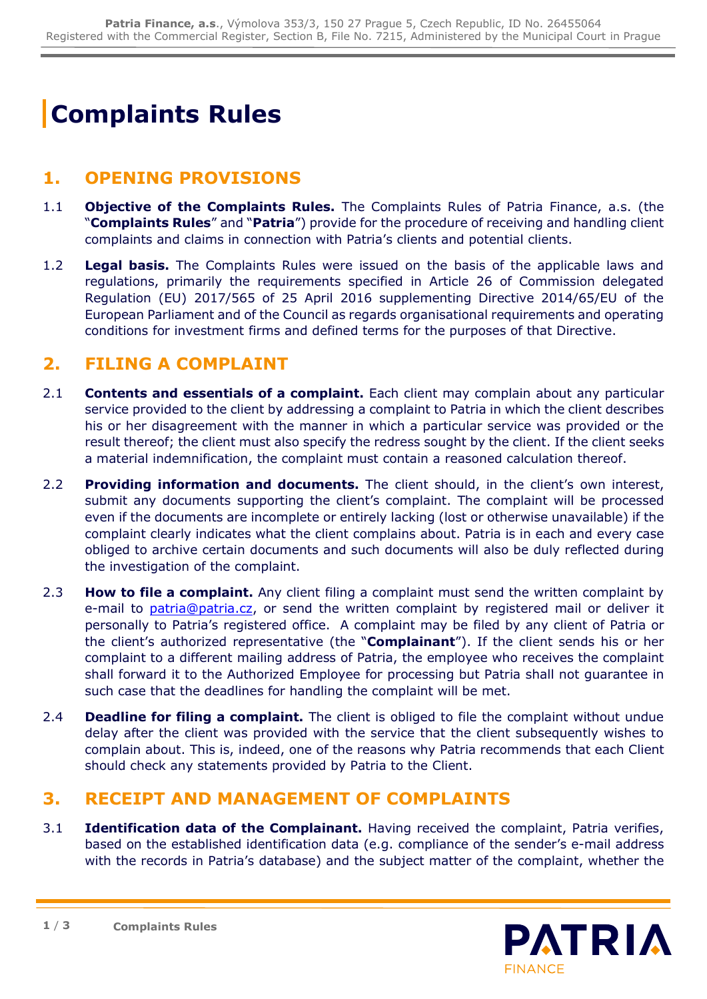# **Complaints Rules**

#### **1. OPENING PROVISIONS**

- 1.1 **Objective of the Complaints Rules.** The Complaints Rules of Patria Finance, a.s. (the "**Complaints Rules**" and "**Patria**") provide for the procedure of receiving and handling client complaints and claims in connection with Patria's clients and potential clients.
- 1.2 **Legal basis.** The Complaints Rules were issued on the basis of the applicable laws and regulations, primarily the requirements specified in Article 26 of Commission delegated Regulation (EU) 2017/565 of 25 April 2016 supplementing Directive 2014/65/EU of the European Parliament and of the Council as regards organisational requirements and operating conditions for investment firms and defined terms for the purposes of that Directive.

### **2. FILING A COMPLAINT**

- 2.1 **Contents and essentials of a complaint.** Each client may complain about any particular service provided to the client by addressing a complaint to Patria in which the client describes his or her disagreement with the manner in which a particular service was provided or the result thereof; the client must also specify the redress sought by the client. If the client seeks a material indemnification, the complaint must contain a reasoned calculation thereof.
- 2.2 **Providing information and documents.** The client should, in the client's own interest, submit any documents supporting the client's complaint. The complaint will be processed even if the documents are incomplete or entirely lacking (lost or otherwise unavailable) if the complaint clearly indicates what the client complains about. Patria is in each and every case obliged to archive certain documents and such documents will also be duly reflected during the investigation of the complaint.
- 2.3 **How to file a complaint.** Any client filing a complaint must send the written complaint by e-mail to [patria@patria.cz,](mailto:patria@patria.cz) or send the written complaint by registered mail or deliver it personally to Patria's registered office. A complaint may be filed by any client of Patria or the client's authorized representative (the "**Complainant**"). If the client sends his or her complaint to a different mailing address of Patria, the employee who receives the complaint shall forward it to the Authorized Employee for processing but Patria shall not guarantee in such case that the deadlines for handling the complaint will be met.
- 2.4 **Deadline for filing a complaint.** The client is obliged to file the complaint without undue delay after the client was provided with the service that the client subsequently wishes to complain about. This is, indeed, one of the reasons why Patria recommends that each Client should check any statements provided by Patria to the Client.

#### **3. RECEIPT AND MANAGEMENT OF COMPLAINTS**

3.1 **Identification data of the Complainant.** Having received the complaint, Patria verifies, based on the established identification data (e.g. compliance of the sender's e-mail address with the records in Patria's database) and the subject matter of the complaint, whether the

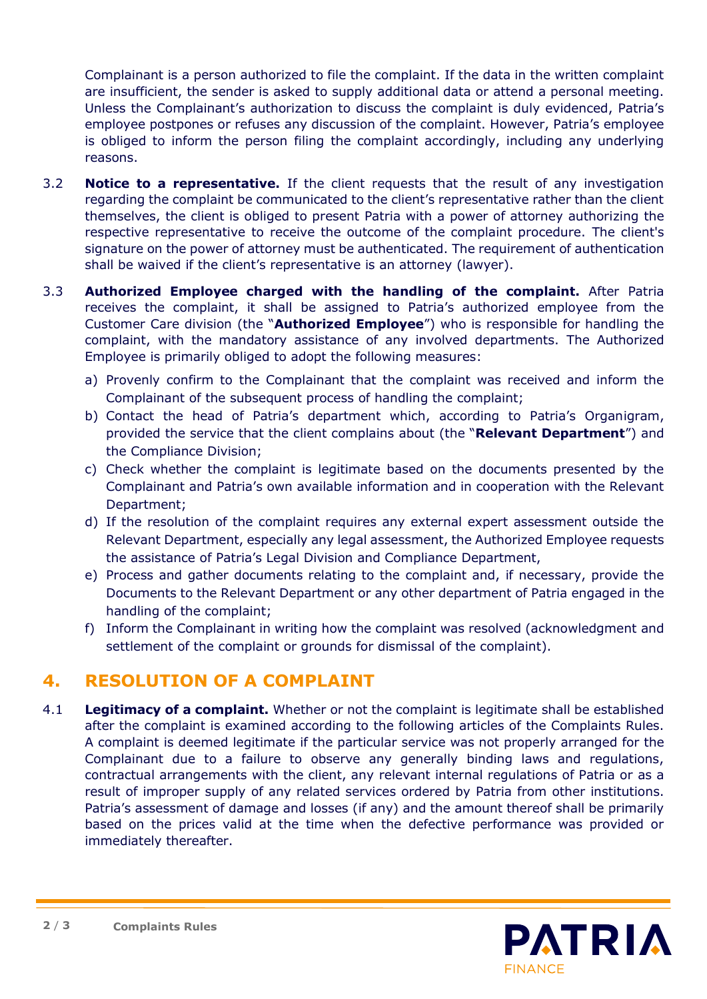Complainant is a person authorized to file the complaint. If the data in the written complaint are insufficient, the sender is asked to supply additional data or attend a personal meeting. Unless the Complainant's authorization to discuss the complaint is duly evidenced, Patria's employee postpones or refuses any discussion of the complaint. However, Patria's employee is obliged to inform the person filing the complaint accordingly, including any underlying reasons.

- 3.2 **Notice to a representative.** If the client requests that the result of any investigation regarding the complaint be communicated to the client's representative rather than the client themselves, the client is obliged to present Patria with a power of attorney authorizing the respective representative to receive the outcome of the complaint procedure. The client's signature on the power of attorney must be authenticated. The requirement of authentication shall be waived if the client's representative is an attorney (lawyer).
- 3.3 **Authorized Employee charged with the handling of the complaint.** After Patria receives the complaint, it shall be assigned to Patria's authorized employee from the Customer Care division (the "**Authorized Employee**") who is responsible for handling the complaint, with the mandatory assistance of any involved departments. The Authorized Employee is primarily obliged to adopt the following measures:
	- a) Provenly confirm to the Complainant that the complaint was received and inform the Complainant of the subsequent process of handling the complaint;
	- b) Contact the head of Patria's department which, according to Patria's Organigram, provided the service that the client complains about (the "**Relevant Department**") and the Compliance Division;
	- c) Check whether the complaint is legitimate based on the documents presented by the Complainant and Patria's own available information and in cooperation with the Relevant Department;
	- d) If the resolution of the complaint requires any external expert assessment outside the Relevant Department, especially any legal assessment, the Authorized Employee requests the assistance of Patria's Legal Division and Compliance Department,
	- e) Process and gather documents relating to the complaint and, if necessary, provide the Documents to the Relevant Department or any other department of Patria engaged in the handling of the complaint;
	- f) Inform the Complainant in writing how the complaint was resolved (acknowledgment and settlement of the complaint or grounds for dismissal of the complaint).

## **4. RESOLUTION OF A COMPLAINT**

4.1 **Legitimacy of a complaint.** Whether or not the complaint is legitimate shall be established after the complaint is examined according to the following articles of the Complaints Rules. A complaint is deemed legitimate if the particular service was not properly arranged for the Complainant due to a failure to observe any generally binding laws and regulations, contractual arrangements with the client, any relevant internal regulations of Patria or as a result of improper supply of any related services ordered by Patria from other institutions. Patria's assessment of damage and losses (if any) and the amount thereof shall be primarily based on the prices valid at the time when the defective performance was provided or immediately thereafter.